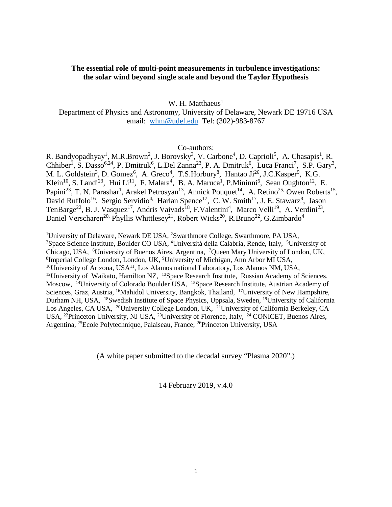## **The essential role of multi-point measurements in turbulence investigations: the solar wind beyond single scale and beyond the Taylor Hypothesis**

W. H. Matthaeus $<sup>1</sup>$ </sup>

Department of Physics and Astronomy, University of Delaware, Newark DE 19716 USA email: [whm@udel.edu](mailto:whm@udel.edu) Tel: (302)-983-8767

## Co-authors:

R. Bandyopadhyay<sup>1</sup>, M.R.Brown<sup>2</sup>, J. Borovsky<sup>3</sup>, V. Carbone<sup>4</sup>, D. Caprioli<sup>5</sup>, A. Chasapis<sup>1</sup>, R. Chhiber<sup>1</sup>, S. Dasso<sup>6,24</sup>, P. Dmitruk<sup>6</sup>, L.Del Zanna<sup>23</sup>, P. A. Dmitruk<sup>6</sup>, Luca Franci<sup>7</sup>, S.P. Gary<sup>3</sup>, M. L. Goldstein<sup>3</sup>, D. Gomez<sup>6</sup>, A. Greco<sup>4</sup>, T.S.Horbury<sup>8</sup>, Hantao Ji<sup>26</sup>, J.C.Kasper<sup>9</sup>, K.G. Klein<sup>10</sup>, S. Landi<sup>23</sup>, Hui Li<sup>11</sup>, F. Malara<sup>4</sup>, B. A. Maruca<sup>1</sup>, P. Mininni<sup>6</sup>, Sean Oughton<sup>12</sup>, E. Papini<sup>23</sup>, T. N. Parashar<sup>1</sup>, Arakel Petrosyan<sup>13</sup>, Annick Pouquet<sup>14</sup>, A. Retino<sup>25,</sup> Owen Roberts<sup>15</sup>, David Ruffolo<sup>16</sup>, Sergio Servidio<sup>4,</sup> Harlan Spence<sup>17</sup>, C. W. Smith<sup>17</sup>, J. E. Stawarz<sup>8</sup>, Jason TenBarge<sup>22</sup>, B. J. Vasquez<sup>17</sup>, Andris Vaivads<sup>18</sup>, F.Valentini<sup>4</sup>, Marco Velli<sup>19</sup>, A. Verdini<sup>23</sup>, Daniel Verscharen<sup>20,</sup> Phyllis Whittlesey<sup>21</sup>, Robert Wicks<sup>20</sup>, R.Bruno<sup>22</sup>, G.Zimbardo<sup>4</sup>

<sup>1</sup>University of Delaware, Newark DE USA, <sup>2</sup>Swarthmore College, Swarthmore, PA USA, <sup>3</sup>Space Science Institute, Boulder CO USA, <sup>4</sup>Università della Calabria, Bende, Italy, <sup>5</sup>Università Space Science Institute, Boulder CO USA, <sup>4</sup>Università della Calabria, Rende, Italy, <sup>5</sup>University of Chicago, USA, <sup>6</sup>University of Buenos Aires, Argentina, <sup>7</sup>Queen Mary University of London, UK, <sup>8</sup>Imperial College London, Jondon, IK, <sup>9</sup>University of Michigan, Ann Arbor MI USA Imperial College London, London, UK, <sup>9</sup>University of Michigan, Ann Arbor MI USA,  $10$ University of Arizona, USA $11$ , Los Alamos national Laboratory, Los Alamos NM, USA, <sup>12</sup>University of Waikato, Hamilton NZ, <sup>13</sup>Space Research Institute, Russian Academy of Sciences, Moscow, <sup>14</sup>University of Colorado Boulder USA, <sup>15</sup>Space Research Institute, Austrian Academy of Sciences, Graz, Austria, <sup>16</sup>Mahidol University, Bangkok, Thailand, <sup>17</sup>University of New Hampshire, Durham NH, USA, 18Swedish Institute of Space Physics, Uppsala, Sweden, 19University of California Los Angeles, CA USA, <sup>20</sup>University College London, UK, <sup>21</sup>University of California Berkeley, CA USA, 22Princeton University, NJ USA, 23University of Florence, Italy, 24 CONICET, Buenos Aires, Argentina, 25Ecole Polytechnique, Palaiseau, France; 26Princeton University, USA

(A white paper submitted to the decadal survey "Plasma 2020".)

14 February 2019, v.4.0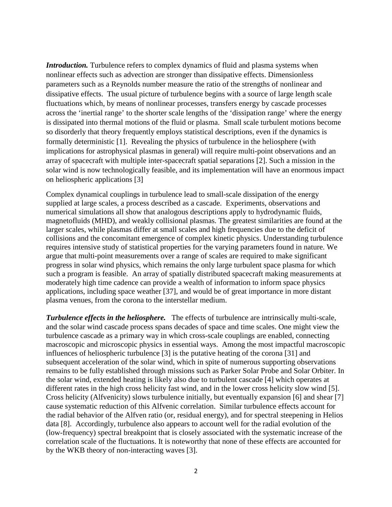*Introduction*. Turbulence refers to complex dynamics of fluid and plasma systems when nonlinear effects such as advection are stronger than dissipative effects. Dimensionless parameters such as a Reynolds number measure the ratio of the strengths of nonlinear and dissipative effects. The usual picture of turbulence begins with a source of large length scale fluctuations which, by means of nonlinear processes, transfers energy by cascade processes across the 'inertial range' to the shorter scale lengths of the 'dissipation range' where the energy is dissipated into thermal motions of the fluid or plasma. Small scale turbulent motions become so disorderly that theory frequently employs statistical descriptions, even if the dynamics is formally deterministic [1]. Revealing the physics of turbulence in the heliosphere (with implications for astrophysical plasmas in general) will require multi-point observations and an array of spacecraft with multiple inter-spacecraft spatial separations [2]. Such a mission in the solar wind is now technologically feasible, and its implementation will have an enormous impact on heliospheric applications [3]

Complex dynamical couplings in turbulence lead to small-scale dissipation of the energy supplied at large scales, a process described as a cascade. Experiments, observations and numerical simulations all show that analogous descriptions apply to hydrodynamic fluids, magnetofluids (MHD), and weakly collisional plasmas. The greatest similarities are found at the larger scales, while plasmas differ at small scales and high frequencies due to the deficit of collisions and the concomitant emergence of complex kinetic physics. Understanding turbulence requires intensive study of statistical properties for the varying parameters found in nature. We argue that multi-point measurements over a range of scales are required to make significant progress in solar wind physics, which remains the only large turbulent space plasma for which such a program is feasible. An array of spatially distributed spacecraft making measurements at moderately high time cadence can provide a wealth of information to inform space physics applications, including space weather [37], and would be of great importance in more distant plasma venues, from the corona to the interstellar medium.

*Turbulence effects in the heliosphere.* The effects of turbulence are intrinsically multi-scale, and the solar wind cascade process spans decades of space and time scales. One might view the turbulence cascade as a primary way in which cross-scale couplings are enabled, connecting macroscopic and microscopic physics in essential ways. Among the most impactful macroscopic influences of heliospheric turbulence [3] is the putative heating of the corona [31] and subsequent acceleration of the solar wind, which in spite of numerous supporting observations remains to be fully established through missions such as Parker Solar Probe and Solar Orbiter. In the solar wind, extended heating is likely also due to turbulent cascade [4] which operates at different rates in the high cross helicity fast wind, and in the lower cross helicity slow wind [5]. Cross helicity (Alfvenicity) slows turbulence initially, but eventually expansion [6] and shear [7] cause systematic reduction of this Alfvenic correlation. Similar turbulence effects account for the radial behavior of the Alfven ratio (or, residual energy), and for spectral steepening in Helios data [8]. Accordingly, turbulence also appears to account well for the radial evolution of the (low-frequency) spectral breakpoint that is closely associated with the systematic increase of the correlation scale of the fluctuations. It is noteworthy that none of these effects are accounted for by the WKB theory of non-interacting waves [3].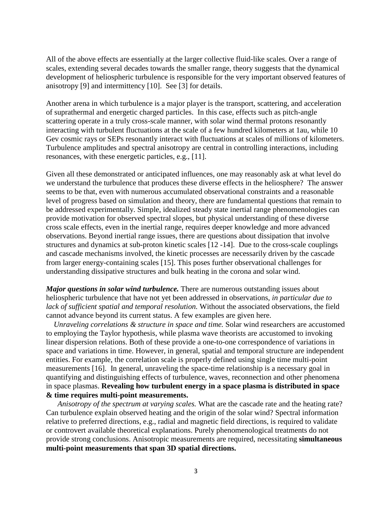All of the above effects are essentially at the larger collective fluid-like scales. Over a range of scales, extending several decades towards the smaller range, theory suggests that the dynamical development of heliospheric turbulence is responsible for the very important observed features of anisotropy [9] and intermittency [10]. See [3] for details.

Another arena in which turbulence is a major player is the transport, scattering, and acceleration of suprathermal and energetic charged particles. In this case, effects such as pitch-angle scattering operate in a truly cross-scale manner, with solar wind thermal protons resonantly interacting with turbulent fluctuations at the scale of a few hundred kilometers at 1au, while 10 Gev cosmic rays or SEPs resonantly interact with fluctuations at scales of millions of kilometers. Turbulence amplitudes and spectral anisotropy are central in controlling interactions, including resonances, with these energetic particles, e.g., [11].

Given all these demonstrated or anticipated influences, one may reasonably ask at what level do we understand the turbulence that produces these diverse effects in the heliosphere? The answer seems to be that, even with numerous accumulated observational constraints and a reasonable level of progress based on simulation and theory, there are fundamental questions that remain to be addressed experimentally. Simple, idealized steady state inertial range phenomenologies can provide motivation for observed spectral slopes, but physical understanding of these diverse cross scale effects, even in the inertial range, requires deeper knowledge and more advanced observations. Beyond inertial range issues, there are questions about dissipation that involve structures and dynamics at sub-proton kinetic scales [12 -14]. Due to the cross-scale couplings and cascade mechanisms involved, the kinetic processes are necessarily driven by the cascade from larger energy-containing scales [15]. This poses further observational challenges for understanding dissipative structures and bulk heating in the corona and solar wind.

*Major questions in solar wind turbulence*. There are numerous outstanding issues about heliospheric turbulence that have not yet been addressed in observations, *in particular due to lack of sufficient spatial and temporal resolution.* Without the associated observations, the field cannot advance beyond its current status. A few examples are given here.

 *Unraveling correlations & structure in space and time.* Solar wind researchers are accustomed to employing the Taylor hypothesis, while plasma wave theorists are accustomed to invoking linear dispersion relations. Both of these provide a one-to-one correspondence of variations in space and variations in time. However, in general, spatial and temporal structure are independent entities. For example, the correlation scale is properly defined using single time multi-point measurements [16]. In general, unraveling the space-time relationship is a necessary goal in quantifying and distinguishing effects of turbulence, waves, reconnection and other phenomena in space plasmas. **Revealing how turbulent energy in a space plasma is distributed in space & time requires multi-point measurements.**

 *Anisotropy of the spectrum at varying scales.* What are the cascade rate and the heating rate? Can turbulence explain observed heating and the origin of the solar wind? Spectral information relative to preferred directions, e.g., radial and magnetic field directions, is required to validate or controvert available theoretical explanations. Purely phenomenological treatments do not provide strong conclusions. Anisotropic measurements are required, necessitating **simultaneous multi-point measurements that span 3D spatial directions.**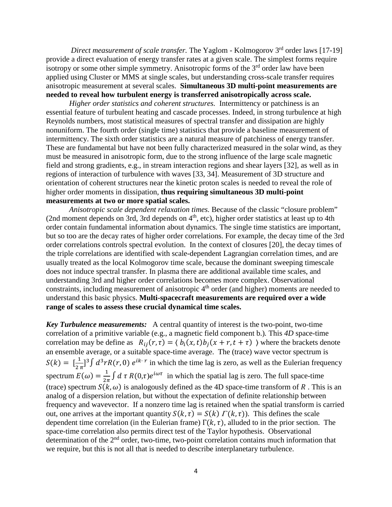*Direct measurement of scale transfer.* The Yaglom - Kolmogorov 3<sup>rd</sup> order laws [17-19] provide a direct evaluation of energy transfer rates at a given scale. The simplest forms require isotropy or some other simple symmetry. Anisotropic forms of the  $3<sup>rd</sup>$  order law have been applied using Cluster or MMS at single scales, but understanding cross-scale transfer requires anisotropic measurement at several scales. **Simultaneous 3D multi-point measurements are needed to reveal how turbulent energy is transferred anisotropically across scale.** 

*Higher order statistics and coherent structures.* Intermittency or patchiness is an essential feature of turbulent heating and cascade processes. Indeed, in strong turbulence at high Reynolds numbers, most statistical measures of spectral transfer and dissipation are highly nonuniform. The fourth order (single time) statistics that provide a baseline measurement of intermittency. The sixth order statistics are a natural measure of patchiness of energy transfer. These are fundamental but have not been fully characterized measured in the solar wind, as they must be measured in anisotropic form, due to the strong influence of the large scale magnetic field and strong gradients, e.g., in stream interaction regions and shear layers [32], as well as in regions of interaction of turbulence with waves [33, 34]. Measurement of 3D structure and orientation of coherent structures near the kinetic proton scales is needed to reveal the role of higher order moments in dissipation, **thus requiring simultaneous 3D multi-point measurements at two or more spatial scales.** 

*Anisotropic scale dependent relaxation times.* Because of the classic "closure problem" (2nd moment depends on 3rd, 3rd depends on  $4<sup>th</sup>$ , etc), higher order statistics at least up to 4th order contain fundamental information about dynamics. The single time statistics are important, but so too are the decay rates of higher order correlations. For example, the decay time of the 3rd order correlations controls spectral evolution. In the context of closures [20], the decay times of the triple correlations are identified with scale-dependent Lagrangian correlation times, and are usually treated as the local Kolmogorov time scale, because the dominant sweeping timescale does not induce spectral transfer. In plasma there are additional available time scales, and understanding 3rd and higher order correlations becomes more complex. Observational constraints, including measurement of anisotropic  $4<sup>th</sup>$  order (and higher) moments are needed to understand this basic physics. **Multi-spacecraft measurements are required over a wide range of scales to assess these crucial dynamical time scales.** 

*Key Turbulence measurements:* A central quantity of interest is the two-point, two-time correlation of a primitive variable (e.g., a magnetic field component b.)*.* This *4D* space-time correlation may be define as  $R_{ij}(r, \tau) = \langle b_i(x, t) b_j(x + r, t + \tau) \rangle$  where the brackets denote an ensemble average, or a suitable space-time average. The (trace) wave vector spectrum is  $S(k) = \left[\frac{1}{2\pi}\right]^3 \int d^3r R(r, 0) e^{ik \cdot r}$  in which the time lag is zero, as well as the Eulerian frequency spectrum  $E(\omega) = \frac{1}{2\pi} \int d\tau R(0,\tau) e^{i\omega\tau}$  in which the spatial lag is zero. The full space-time (trace) spectrum  $S(k, \omega)$  is analogously defined as the 4D space-time transform of R. This is an analog of a dispersion relation, but without the expectation of definite relationship between frequency and wavevector. If a nonzero time lag is retained when the spatial transform is carried out, one arrives at the important quantity  $S(k, \tau) = S(k) \Gamma(k, \tau)$ . This defines the scale dependent time correlation (in the Eulerian frame)  $\Gamma(k, \tau)$ , alluded to in the prior section. The space-time correlation also permits direct test of the Taylor hypothesis. Observational determination of the 2<sup>nd</sup> order, two-time, two-point correlation contains much information that we require, but this is not all that is needed to describe interplanetary turbulence.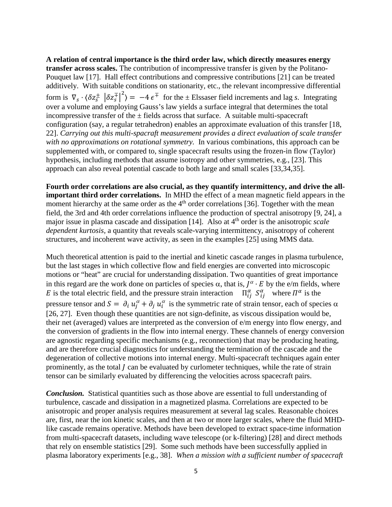**A relation of central importance is the third order law, which directly measures energy transfer across scales.** The contribution of incompressive transfer is given by the Politano-Pouquet law [17]. Hall effect contributions and compressive contributions [21] can be treated additively. With suitable conditions on stationarity, etc., the relevant incompressive differential form is  $\nabla_s \cdot (\delta z_s^{\pm} \, |\delta z_s^{\mp}|^2) = -4 \, \epsilon^{\mp}$  for the  $\pm$  Elssaser field increments and lag *s*. Integrating over a volume and employing Gauss's law yields a surface integral that determines the total incompressive transfer of the  $\pm$  fields across that surface. A suitable multi-spacecraft configuration (say, a regular tetrahedron) enables an approximate evaluation of this transfer [18, 22]. *Carrying out this multi-spacraft measurement provides a direct evaluation of scale transfer with no approximations on rotational symmetry.* In various combinations, this approach can be supplemented with, or compared to, single spacecraft results using the frozen-in flow (Taylor) hypothesis, including methods that assume isotropy and other symmetries, e.g., [23]. This approach can also reveal potential cascade to both large and small scales [33,34,35].

**Fourth order correlations are also crucial, as they quantify intermittency, and drive the allimportant third order correlations.** In MHD the effect of a mean magnetic field appears in the moment hierarchy at the same order as the  $4<sup>th</sup>$  order correlations [36]. Together with the mean field, the 3rd and 4th order correlations influence the production of spectral anisotropy [9, 24], a major issue in plasma cascade and dissipation [14]. Also at 4th order is the anisotropic *scale dependent kurtosis,* a quantity that reveals scale-varying intermittency, anisotropy of coherent structures, and incoherent wave activity, as seen in the examples [25] using MMS data.

Much theoretical attention is paid to the inertial and kinetic cascade ranges in plasma turbulence, but the last stages in which collective flow and field energies are converted into microscopic motions or "heat" are crucial for understanding dissipation. Two quantities of great importance in this regard are the work done on particles of species  $\alpha$ , that is,  $I^{\alpha} \cdot E$  by the e/m fields, where E is the total electric field, and the pressure strain interaction  $\Pi_{ij}^{\alpha} S_{ij}^{\alpha}$  where  $\Pi^{\alpha}$  is the pressure tensor and  $S = \partial_i u_j^{\alpha} + \partial_j u_i^{\alpha}$  is the symmetric rate of strain tensor, each of species  $\alpha$ [26, 27]. Even though these quantities are not sign-definite, as viscous dissipation would be, their net (averaged) values are interpreted as the conversion of e/m energy into flow energy, and the conversion of gradients in the flow into internal energy. These channels of energy conversion are agnostic regarding specific mechanisms (e.g., reconnection) that may be producing heating, and are therefore crucial diagnostics for understanding the termination of the cascade and the degeneration of collective motions into internal energy. Multi-spacecraft techniques again enter prominently, as the total *l* can be evaluated by curlometer techniques, while the rate of strain tensor can be similarly evaluated by differencing the velocities across spacecraft pairs.

*Conclusion.* Statistical quantities such as those above are essential to full understanding of turbulence, cascade and dissipation in a magnetized plasma. Correlations are expected to be anisotropic and proper analysis requires measurement at several lag scales. Reasonable choices are, first, near the ion kinetic scales, and then at two or more larger scales, where the fluid MHDlike cascade remains operative. Methods have been developed to extract space-time information from multi-spacecraft datasets, including wave telescope (or k-filtering) [28] and direct methods that rely on ensemble statistics [29]. Some such methods have been successfully applied in plasma laboratory experiments [e.g., 38]. *When a mission with a sufficient number of spacecraft*